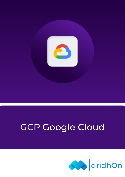

# GCP Google Cloud

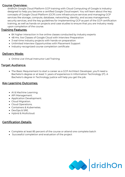## Course Overview:

dridhOn Google Cloud Platform GCP training with Cloud Computing of Google is industrydesigned to help you become a certified Google Cloud expert. You will learn about the key concepts of Google Cloud Platform (GCP) core infrastructure services and managing GCP services like storage, compute, database, networking, identity, and access management, security services, and the key guidelines for implementing GCP as part of the GCP certification training, as well as hands-on projects and case studies to ensure that you are Industry ready upon completion of the course.

# **Training Features:**

- 8X higher interaction in live online classes conducted by industry experts
- 48 Hrs. live Classes of Google Cloud with Interview Preparation
- 3 real-time industry projects with hands-on preparation
- Unlimited Interview Opportunities with Placement Support
- Industry-recognized course completion certificate

# Delivery Mode:

Online Live Virtual Instructor Led Training

## Target Audiance:

The Basic Requirement to start a career as a GCP Architect Developer, you'll need a Bachelor's degree or at least 1+ years of experience in Information Technology (IT). A Bachelor's degree in Technology justice will help you get the job.

## Key Learning Outcomes:

- AI & Machine Learning.
- API Management.
- Application Development.
- Cloud Migration.
- Cloud Operations.
- Containers & Kubernetes.
- DevOps & SRE.
- Hybrid & Multicloud.

# Certification Details:

- Complete at least 85 percent of the course or attend one complete batch
- Successful completion and evaluation of the project

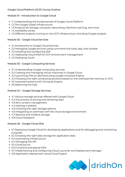## Google Cloud Platform (GCP) Course Outline:

#### Module 01 - Introduction to Google Cloud

- 1.1 Understanding the fundamentals of Google Cloud Platform
- 1.2 The Google Global infrastructure
- 1.3 Products for storage, compute, networking, Machine Learning, and more
- 1.4 Availability zones
- 1.5 Different projects running on the GCP infrastructure, including Google projects

### Module 02 - Google Cloud Services

- 2.1 Introduction to Google Cloud services
- 2.2 Managing Google services using command-line tools, app, and console
- 2.3 Installing and configuring SDK
- 2.4 Deploying Cloud Shell for GCP environment management
- 2.5 Deploying Gsutil

### Module 03 - Google Computing Services

- 3.1 Understanding Google computing services
- 3.2 Creating and managing virtual machines in Google Cloud
- 3.3 Launching VMs on-demand using Google Compute Engine
- 3.4 Choosing the right computing solutions based on the workload like memory or CPU
- 3.5 Important actions with Compute Engine
- 3.6 Balancing the load

#### Module 04 - Google Storage Services

- 4.1 Various storage services offered with Google Cloud
- 4.2 The process of storing and retrieving data
- 4.3 Rich content management
- 4.4 Hosting a website
- 4.5 Choosing the right storage options
- 4.6 Integrating on-premises with the cloud storage environment
- 4.7 Nearline and Coldline storage
- 4.8 Cloud Datastore

## Module 05 - Google Cloud APIs

- 5.1 Deploying Google Cloud for developing applications and for debugging and monitoring purposes
- 5.2 Choosing the right data storage for application data
- 5.3 Automating infrastructure
- 5.4 Managing the API
- 5.5 Cloud source
- 5.6 Functions and special APIs
- 5.7 Implementing and configuring Cloud Launcher and Deployment Manager
- 5.8 Application deployment using Cloud Engine